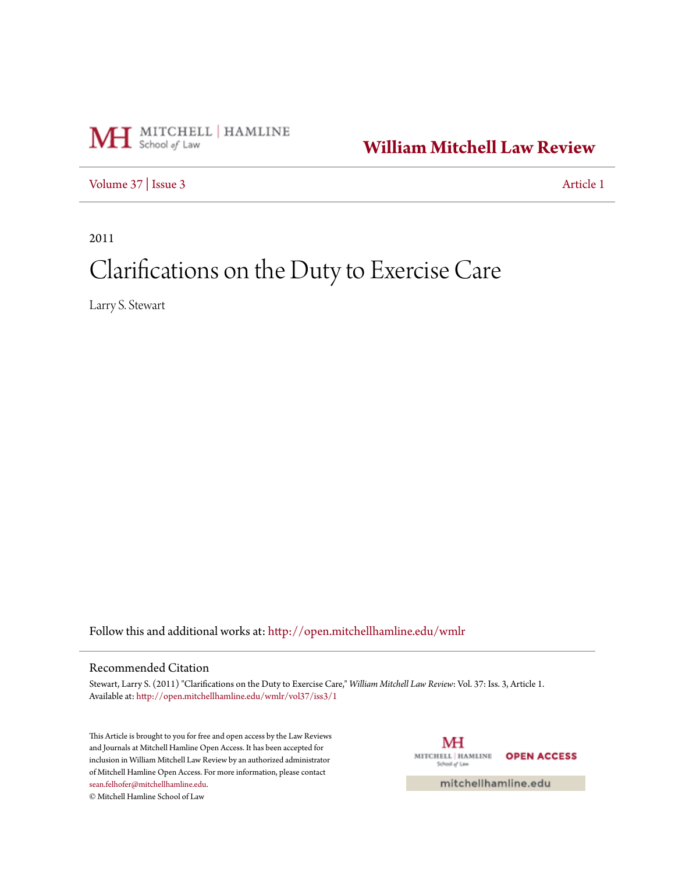

**[William Mitchell Law Review](http://open.mitchellhamline.edu/wmlr?utm_source=open.mitchellhamline.edu%2Fwmlr%2Fvol37%2Fiss3%2F1&utm_medium=PDF&utm_campaign=PDFCoverPages)**

[Volume 37](http://open.mitchellhamline.edu/wmlr/vol37?utm_source=open.mitchellhamline.edu%2Fwmlr%2Fvol37%2Fiss3%2F1&utm_medium=PDF&utm_campaign=PDFCoverPages) | [Issue 3](http://open.mitchellhamline.edu/wmlr/vol37/iss3?utm_source=open.mitchellhamline.edu%2Fwmlr%2Fvol37%2Fiss3%2F1&utm_medium=PDF&utm_campaign=PDFCoverPages) [Article 1](http://open.mitchellhamline.edu/wmlr/vol37/iss3/1?utm_source=open.mitchellhamline.edu%2Fwmlr%2Fvol37%2Fiss3%2F1&utm_medium=PDF&utm_campaign=PDFCoverPages)

2011

# Clarifications on the Duty to Exercise Care

Larry S. Stewart

Follow this and additional works at: [http://open.mitchellhamline.edu/wmlr](http://open.mitchellhamline.edu/wmlr?utm_source=open.mitchellhamline.edu%2Fwmlr%2Fvol37%2Fiss3%2F1&utm_medium=PDF&utm_campaign=PDFCoverPages)

# Recommended Citation

Stewart, Larry S. (2011) "Clarifications on the Duty to Exercise Care," *William Mitchell Law Review*: Vol. 37: Iss. 3, Article 1. Available at: [http://open.mitchellhamline.edu/wmlr/vol37/iss3/1](http://open.mitchellhamline.edu/wmlr/vol37/iss3/1?utm_source=open.mitchellhamline.edu%2Fwmlr%2Fvol37%2Fiss3%2F1&utm_medium=PDF&utm_campaign=PDFCoverPages)

This Article is brought to you for free and open access by the Law Reviews and Journals at Mitchell Hamline Open Access. It has been accepted for inclusion in William Mitchell Law Review by an authorized administrator of Mitchell Hamline Open Access. For more information, please contact [sean.felhofer@mitchellhamline.edu](mailto:sean.felhofer@mitchellhamline.edu). © Mitchell Hamline School of Law

МH MITCHELL | HAMLINE **OPEN ACCESS** School of Law

mitchellhamline.edu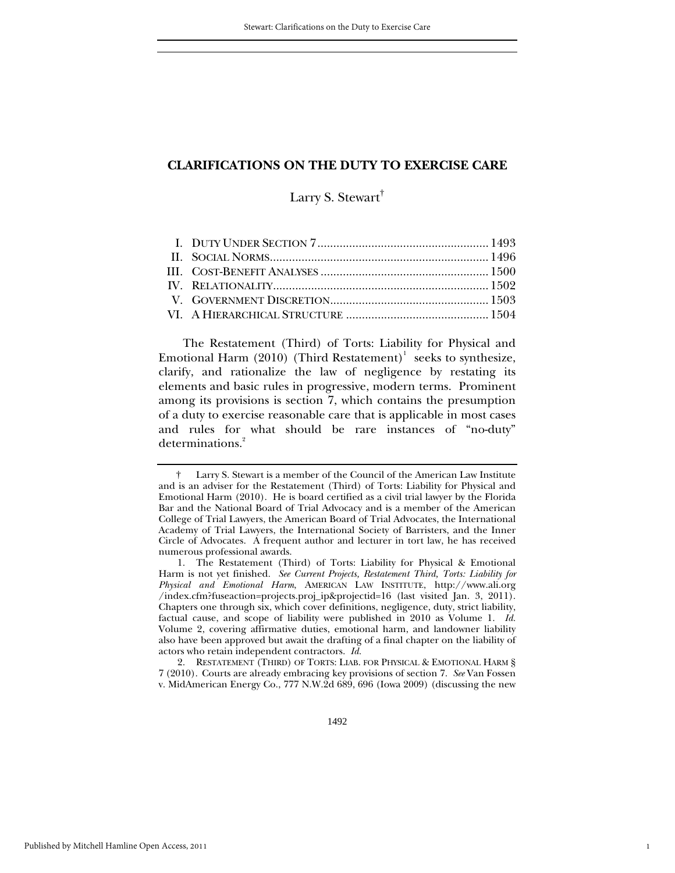Larry S. Stewart<sup>†</sup>

The Restatement (Third) of Torts: Liability for Physical and Emotional Harm (2010) (Third Restatement)<sup>1</sup> seeks to synthesize, clarify, and rationalize the law of negligence by restating its elements and basic rules in progressive, modern terms. Prominent among its provisions is section 7, which contains the presumption of a duty to exercise reasonable care that is applicable in most cases and rules for what should be rare instances of "no-duty" determinations.<sup>2</sup>

 2. RESTATEMENT (THIRD) OF TORTS: LIAB. FOR PHYSICAL & EMOTIONAL HARM § 7 (2010). Courts are already embracing key provisions of section 7. *See* Van Fossen v. MidAmerican Energy Co., 777 N.W.2d 689, 696 (Iowa 2009) (discussing the new

1

 <sup>†</sup> Larry S. Stewart is a member of the Council of the American Law Institute and is an adviser for the Restatement (Third) of Torts: Liability for Physical and Emotional Harm (2010).He is board certified as a civil trial lawyer by the Florida Bar and the National Board of Trial Advocacy and is a member of the American College of Trial Lawyers, the American Board of Trial Advocates, the International Academy of Trial Lawyers, the International Society of Barristers, and the Inner Circle of Advocates. A frequent author and lecturer in tort law, he has received numerous professional awards.

 <sup>1.</sup> The Restatement (Third) of Torts: Liability for Physical & Emotional Harm is not yet finished. *See Current Projects, Restatement Third, Torts: Liability for Physical and Emotional Harm*, AMERICAN LAW INSTITUTE, http://www.ali.org /index.cfm?fuseaction=projects.proj\_ip&projectid=16 (last visited Jan. 3, 2011). Chapters one through six, which cover definitions, negligence, duty, strict liability, factual cause, and scope of liability were published in 2010 as Volume 1. *Id.* Volume 2, covering affirmative duties, emotional harm, and landowner liability also have been approved but await the drafting of a final chapter on the liability of actors who retain independent contractors. *Id.*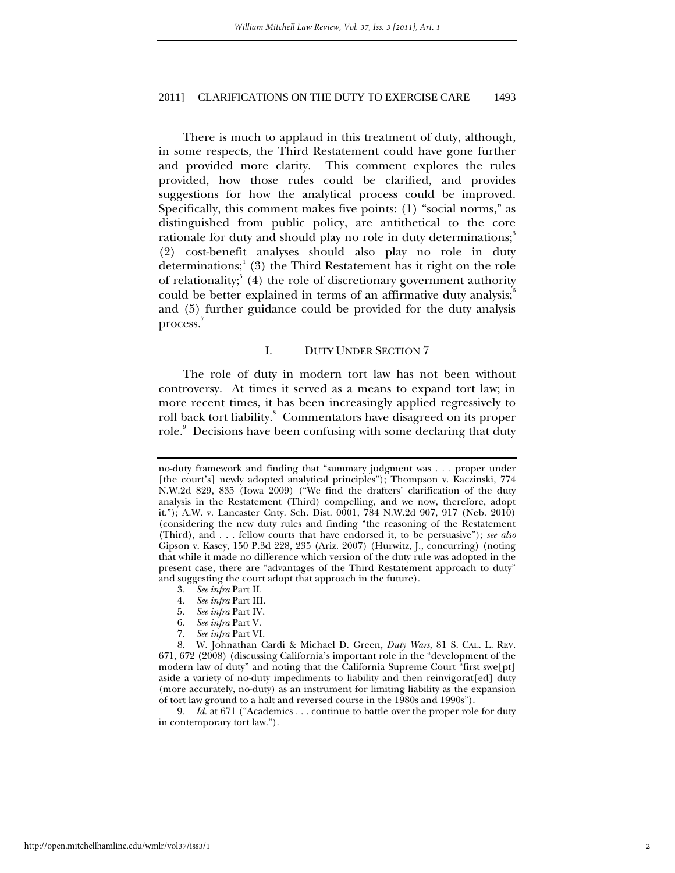There is much to applaud in this treatment of duty, although, in some respects, the Third Restatement could have gone further and provided more clarity. This comment explores the rules provided, how those rules could be clarified, and provides suggestions for how the analytical process could be improved. Specifically, this comment makes five points: (1) "social norms," as distinguished from public policy, are antithetical to the core rationale for duty and should play no role in duty determinations;<sup>3</sup> (2) cost-benefit analyses should also play no role in duty determinations;<sup>4</sup> (3) the Third Restatement has it right on the role of relationality;  $(4)$  the role of discretionary government authority could be better explained in terms of an affirmative duty analysis; $\delta$ and (5) further guidance could be provided for the duty analysis process.<sup>7</sup>

#### I. DUTY UNDER SECTION 7

The role of duty in modern tort law has not been without controversy. At times it served as a means to expand tort law; in more recent times, it has been increasingly applied regressively to roll back tort liability. $^8$  Commentators have disagreed on its proper role.<sup>9</sup> Decisions have been confusing with some declaring that duty

- 4*. See infra* Part III.
- 5*. See infra* Part IV.
- 6*. See infra* Part V.
- 7*. See infra* Part VI.

9*. Id.* at 671 ("Academics . . . continue to battle over the proper role for duty in contemporary tort law.").

no-duty framework and finding that "summary judgment was . . . proper under [the court's] newly adopted analytical principles"); Thompson v. Kaczinski, 774 N.W.2d 829, 835 (Iowa 2009) ("We find the drafters' clarification of the duty analysis in the Restatement (Third) compelling, and we now, therefore, adopt it."); A.W. v. Lancaster Cnty. Sch. Dist. 0001, 784 N.W.2d 907, 917 (Neb. 2010) (considering the new duty rules and finding "the reasoning of the Restatement (Third), and . . . fellow courts that have endorsed it, to be persuasive"); *see also* Gipson v. Kasey, 150 P.3d 228, 235 (Ariz. 2007) (Hurwitz, J., concurring) (noting that while it made no difference which version of the duty rule was adopted in the present case, there are "advantages of the Third Restatement approach to duty" and suggesting the court adopt that approach in the future).

<sup>3</sup>*. See infra* Part II.

 <sup>8.</sup> W. Johnathan Cardi & Michael D. Green, *Duty Wars*, 81 S. CAL. L. REV. 671, 672 (2008) (discussing California's important role in the "development of the modern law of duty" and noting that the California Supreme Court "first swe[pt] aside a variety of no-duty impediments to liability and then reinvigorat[ed] duty (more accurately, no-duty) as an instrument for limiting liability as the expansion of tort law ground to a halt and reversed course in the 1980s and 1990s").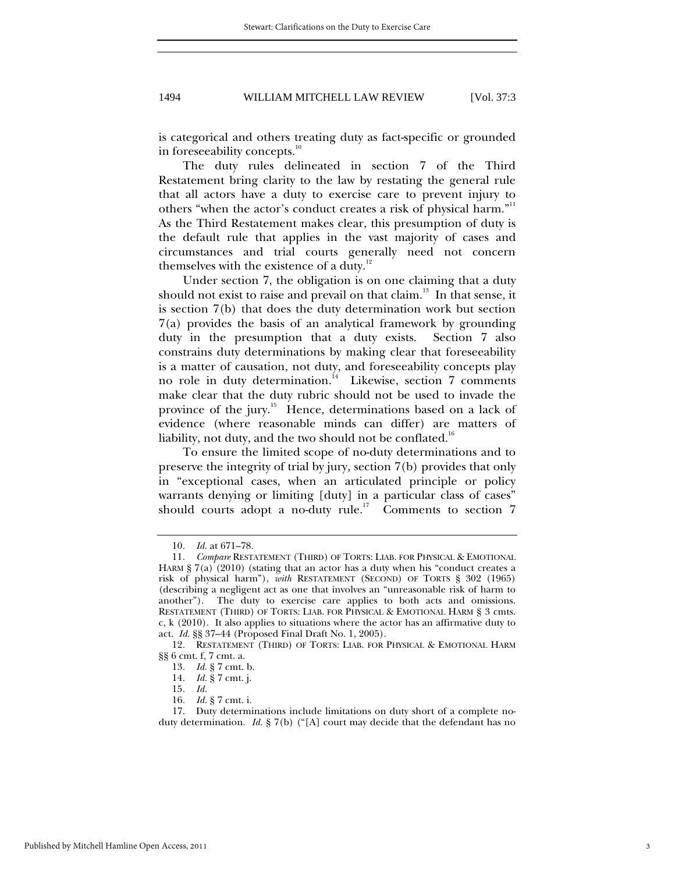is categorical and others treating duty as fact-specific or grounded in foreseeability concepts.<sup>10</sup>

The duty rules delineated in section 7 of the Third Restatement bring clarity to the law by restating the general rule that all actors have a duty to exercise care to prevent injury to others "when the actor's conduct creates a risk of physical harm."<sup>11</sup> As the Third Restatement makes clear, this presumption of duty is the default rule that applies in the vast majority of cases and circumstances and trial courts generally need not concern themselves with the existence of a duty. $12$ 

Under section 7, the obligation is on one claiming that a duty should not exist to raise and prevail on that claim.<sup>13</sup> In that sense, it is section 7(b) that does the duty determination work but section 7(a) provides the basis of an analytical framework by grounding duty in the presumption that a duty exists. Section 7 also constrains duty determinations by making clear that foreseeability is a matter of causation, not duty, and foreseeability concepts play no role in duty determination.<sup>14</sup> Likewise, section 7 comments make clear that the duty rubric should not be used to invade the province of the jury.<sup>15</sup> Hence, determinations based on a lack of evidence (where reasonable minds can differ) are matters of liability, not duty, and the two should not be conflated.<sup>16</sup>

To ensure the limited scope of no-duty determinations and to preserve the integrity of trial by jury*,* section 7(b) provides that only in "exceptional cases, when an articulated principle or policy warrants denying or limiting [duty] in a particular class of cases" should courts adopt a no-duty rule.<sup>17</sup> Comments to section  $7$ 

<sup>10</sup>*. Id.* at 671–78.

<sup>11</sup>*. Compare* RESTATEMENT (THIRD) OF TORTS: LIAB. FOR PHYSICAL & EMOTIONAL HARM § 7(a) (2010) (stating that an actor has a duty when his "conduct creates a risk of physical harm"), *with* RESTATEMENT (SECOND) OF TORTS § 302 (1965) (describing a negligent act as one that involves an "unreasonable risk of harm to another"). The duty to exercise care applies to both acts and omissions. RESTATEMENT (THIRD) OF TORTS: LIAB. FOR PHYSICAL & EMOTIONAL HARM § 3 cmts. c, k (2010). It also applies to situations where the actor has an affirmative duty to act. *Id.* §§ 37–44 (Proposed Final Draft No. 1, 2005).

<sup>12</sup>*.* RESTATEMENT (THIRD) OF TORTS: LIAB. FOR PHYSICAL & EMOTIONAL HARM §§ 6 cmt. f, 7 cmt. a.

<sup>13</sup>*. Id.* § 7 cmt. b.

<sup>14</sup>*. Id.* § 7 cmt. j.

<sup>15</sup>*. Id.*

<sup>16</sup>*. Id.* § 7 cmt. i.

 <sup>17.</sup> Duty determinations include limitations on duty short of a complete noduty determination. *Id.* § 7(b) ("[A] court may decide that the defendant has no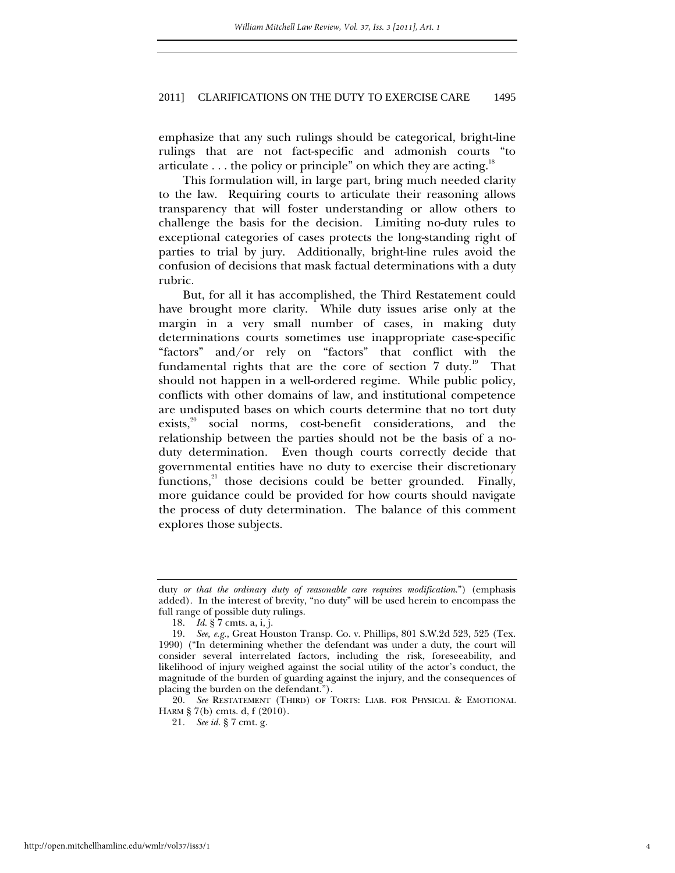emphasize that any such rulings should be categorical, bright-line rulings that are not fact-specific and admonish courts "to articulate  $\ldots$  the policy or principle" on which they are acting.<sup>18</sup>

This formulation will, in large part, bring much needed clarity to the law. Requiring courts to articulate their reasoning allows transparency that will foster understanding or allow others to challenge the basis for the decision. Limiting no-duty rules to exceptional categories of cases protects the long-standing right of parties to trial by jury. Additionally, bright-line rules avoid the confusion of decisions that mask factual determinations with a duty rubric.

But, for all it has accomplished, the Third Restatement could have brought more clarity. While duty issues arise only at the margin in a very small number of cases, in making duty determinations courts sometimes use inappropriate case-specific "factors" and/or rely on "factors" that conflict with the fundamental rights that are the core of section  $7$  duty.<sup>19</sup> That should not happen in a well-ordered regime. While public policy, conflicts with other domains of law, and institutional competence are undisputed bases on which courts determine that no tort duty exists,<sup>20</sup> social norms, cost-benefit considerations, and the relationship between the parties should not be the basis of a noduty determination. Even though courts correctly decide that governmental entities have no duty to exercise their discretionary functions,<sup>21</sup> those decisions could be better grounded. Finally, more guidance could be provided for how courts should navigate the process of duty determination. The balance of this comment explores those subjects.

 20. *See* RESTATEMENT (THIRD) OF TORTS: LIAB. FOR PHYSICAL & EMOTIONAL HARM § 7(b) cmts. d, f (2010).

duty *or that the ordinary duty of reasonable care requires modification*.") (emphasis added). In the interest of brevity, "no duty" will be used herein to encompass the full range of possible duty rulings.

<sup>18</sup>*. Id.* § 7 cmts. a, i, j.

<sup>19</sup>*. See, e.g.*, Great Houston Transp. Co. v. Phillips, 801 S.W.2d 523, 525 (Tex. 1990) ("In determining whether the defendant was under a duty, the court will consider several interrelated factors, including the risk, foreseeability, and likelihood of injury weighed against the social utility of the actor's conduct, the magnitude of the burden of guarding against the injury, and the consequences of placing the burden on the defendant.").

<sup>21</sup>*. See id.* § 7 cmt. g.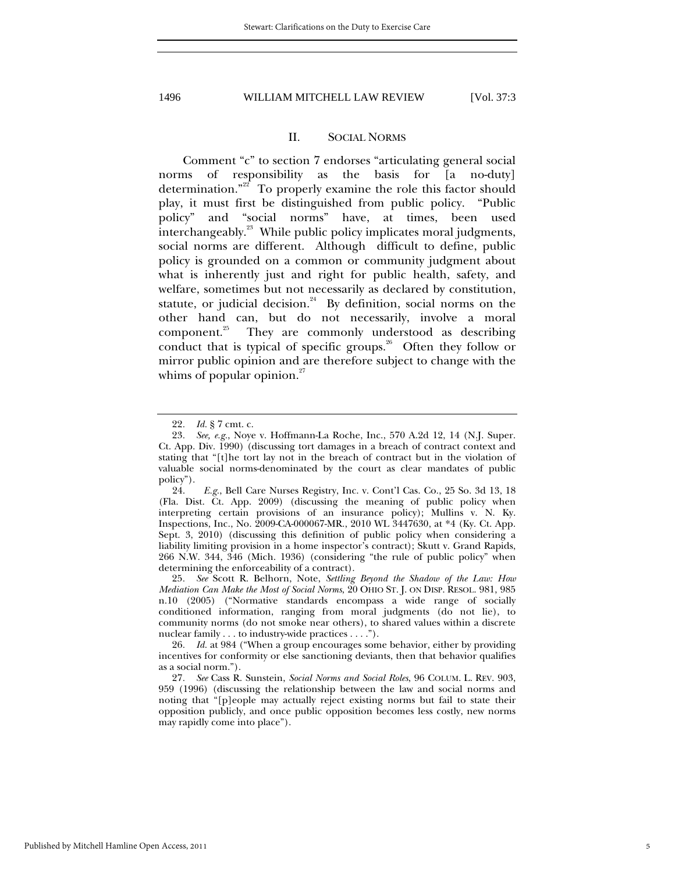#### II. SOCIAL NORMS

Comment "c" to section 7 endorses "articulating general social norms of responsibility as the basis for [a no-duty] determination."<sup>22</sup> To properly examine the role this factor should play, it must first be distinguished from public policy. "Public policy" and "social norms" have, at times, been used interchangeably.<sup>23</sup> While public policy implicates moral judgments, social norms are different. Although difficult to define, public policy is grounded on a common or community judgment about what is inherently just and right for public health, safety, and welfare, sometimes but not necessarily as declared by constitution, statute, or judicial decision. $24$  By definition, social norms on the other hand can, but do not necessarily, involve a moral component.25 They are commonly understood as describing conduct that is typical of specific groups.<sup>26</sup> Often they follow or mirror public opinion and are therefore subject to change with the whims of popular opinion.<sup>27</sup>

<sup>22</sup>*. Id.* § 7 cmt. c.

<sup>23</sup>*. See, e.g.*, Noye v. Hoffmann-La Roche, Inc., 570 A.2d 12, 14 (N.J. Super. Ct. App. Div. 1990) (discussing tort damages in a breach of contract context and stating that "[t]he tort lay not in the breach of contract but in the violation of valuable social norms-denominated by the court as clear mandates of public policy").

 <sup>24.</sup> *E.g.*, Bell Care Nurses Registry, Inc. v. Cont'l Cas. Co., 25 So. 3d 13, 18 (Fla. Dist. Ct. App. 2009) (discussing the meaning of public policy when interpreting certain provisions of an insurance policy); Mullins v. N. Ky. Inspections, Inc., No. 2009-CA-000067-MR., 2010 WL 3447630, at \*4 (Ky. Ct. App. Sept. 3, 2010) (discussing this definition of public policy when considering a liability limiting provision in a home inspector's contract); Skutt v. Grand Rapids, 266 N.W. 344, 346 (Mich. 1936) (considering "the rule of public policy" when determining the enforceability of a contract).

<sup>25</sup>*. See* Scott R. Belhorn, Note, *Settling Beyond the Shadow of the Law: How Mediation Can Make the Most of Social Norms*, 20 OHIO ST. J. ON DISP. RESOL. 981, 985 n.10 (2005) ("Normative standards encompass a wide range of socially conditioned information, ranging from moral judgments (do not lie), to community norms (do not smoke near others), to shared values within a discrete nuclear family . . . to industry-wide practices . . . .").

<sup>26</sup>*. Id.* at 984 ("When a group encourages some behavior, either by providing incentives for conformity or else sanctioning deviants, then that behavior qualifies as a social norm.").

<sup>27</sup>*. See* Cass R. Sunstein, *Social Norms and Social Roles*, 96 COLUM. L. REV. 903, 959 (1996) (discussing the relationship between the law and social norms and noting that "[p]eople may actually reject existing norms but fail to state their opposition publicly, and once public opposition becomes less costly, new norms may rapidly come into place").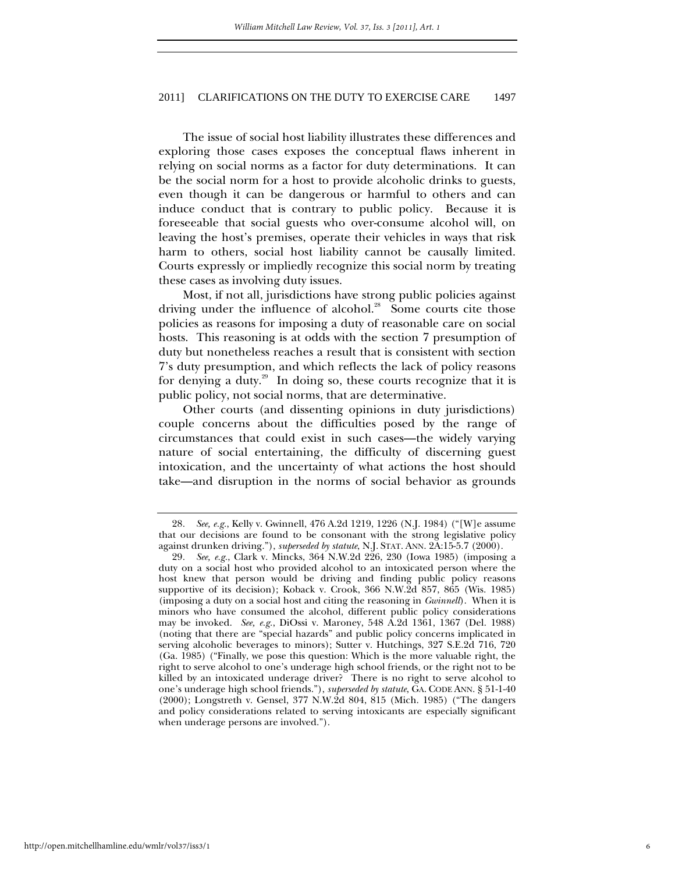The issue of social host liability illustrates these differences and exploring those cases exposes the conceptual flaws inherent in relying on social norms as a factor for duty determinations. It can be the social norm for a host to provide alcoholic drinks to guests, even though it can be dangerous or harmful to others and can induce conduct that is contrary to public policy. Because it is foreseeable that social guests who over-consume alcohol will, on leaving the host's premises, operate their vehicles in ways that risk harm to others, social host liability cannot be causally limited. Courts expressly or impliedly recognize this social norm by treating these cases as involving duty issues.

Most, if not all, jurisdictions have strong public policies against driving under the influence of alcohol.<sup>28</sup> Some courts cite those policies as reasons for imposing a duty of reasonable care on social hosts. This reasoning is at odds with the section 7 presumption of duty but nonetheless reaches a result that is consistent with section 7's duty presumption, and which reflects the lack of policy reasons for denying a duty.<sup>29</sup> In doing so, these courts recognize that it is public policy, not social norms, that are determinative.

Other courts (and dissenting opinions in duty jurisdictions) couple concerns about the difficulties posed by the range of circumstances that could exist in such cases—the widely varying nature of social entertaining, the difficulty of discerning guest intoxication, and the uncertainty of what actions the host should take—and disruption in the norms of social behavior as grounds

<sup>28</sup>*. See, e.g.*, Kelly v. Gwinnell, 476 A.2d 1219, 1226 (N.J. 1984) ("[W]e assume that our decisions are found to be consonant with the strong legislative policy against drunken driving."), *superseded by statute*, N.J. STAT. ANN. 2A:15-5.7 (2000).

<sup>29</sup>*. See, e.g.*, Clark v. Mincks, 364 N.W.2d 226, 230 (Iowa 1985) (imposing a duty on a social host who provided alcohol to an intoxicated person where the host knew that person would be driving and finding public policy reasons supportive of its decision); Koback v. Crook, 366 N.W.2d 857, 865 (Wis. 1985) (imposing a duty on a social host and citing the reasoning in *Gwinnell*). When it is minors who have consumed the alcohol, different public policy considerations may be invoked. *See, e.g.*, DiOssi v. Maroney, 548 A.2d 1361, 1367 (Del. 1988) (noting that there are "special hazards" and public policy concerns implicated in serving alcoholic beverages to minors); Sutter v. Hutchings, 327 S.E.2d 716, 720 (Ga. 1985) ("Finally, we pose this question: Which is the more valuable right, the right to serve alcohol to one's underage high school friends, or the right not to be killed by an intoxicated underage driver? There is no right to serve alcohol to one's underage high school friends."), *superseded by statute*, GA. CODE ANN. § 51-1-40 (2000); Longstreth v. Gensel, 377 N.W.2d 804, 815 (Mich. 1985) ("The dangers and policy considerations related to serving intoxicants are especially significant when underage persons are involved.").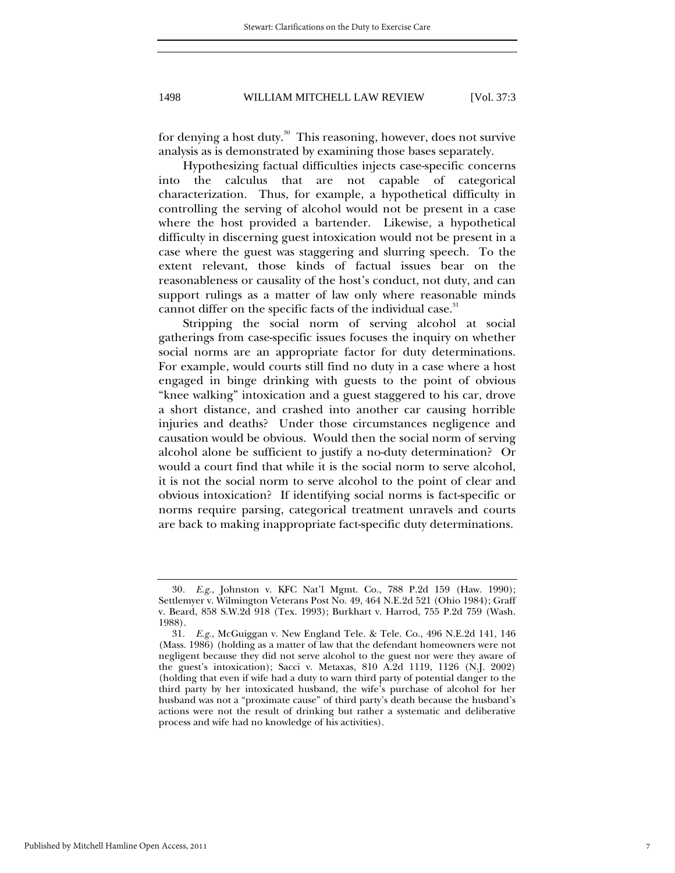for denying a host duty.<sup>30</sup> This reasoning, however, does not survive analysis as is demonstrated by examining those bases separately.

Hypothesizing factual difficulties injects case-specific concerns into the calculus that are not capable of categorical characterization. Thus, for example, a hypothetical difficulty in controlling the serving of alcohol would not be present in a case where the host provided a bartender. Likewise, a hypothetical difficulty in discerning guest intoxication would not be present in a case where the guest was staggering and slurring speech. To the extent relevant, those kinds of factual issues bear on the reasonableness or causality of the host's conduct, not duty, and can support rulings as a matter of law only where reasonable minds cannot differ on the specific facts of the individual case.<sup>31</sup>

Stripping the social norm of serving alcohol at social gatherings from case-specific issues focuses the inquiry on whether social norms are an appropriate factor for duty determinations. For example, would courts still find no duty in a case where a host engaged in binge drinking with guests to the point of obvious "knee walking" intoxication and a guest staggered to his car, drove a short distance, and crashed into another car causing horrible injuries and deaths? Under those circumstances negligence and causation would be obvious. Would then the social norm of serving alcohol alone be sufficient to justify a no-duty determination? Or would a court find that while it is the social norm to serve alcohol, it is not the social norm to serve alcohol to the point of clear and obvious intoxication? If identifying social norms is fact-specific or norms require parsing, categorical treatment unravels and courts are back to making inappropriate fact-specific duty determinations.

<sup>30</sup>*. E.g.*, Johnston v. KFC Nat'l Mgmt. Co., 788 P.2d 159 (Haw. 1990); Settlemyer v. Wilmington Veterans Post No. 49, 464 N.E.2d 521 (Ohio 1984); Graff v. Beard, 858 S.W.2d 918 (Tex. 1993); Burkhart v. Harrod, 755 P.2d 759 (Wash. 1988).

<sup>31</sup>*. E.g.*, McGuiggan v. New England Tele. & Tele. Co., 496 N.E.2d 141, 146 (Mass. 1986) (holding as a matter of law that the defendant homeowners were not negligent because they did not serve alcohol to the guest nor were they aware of the guest's intoxication); Sacci v. Metaxas, 810 A.2d 1119, 1126 (N.J. 2002) (holding that even if wife had a duty to warn third party of potential danger to the third party by her intoxicated husband, the wife's purchase of alcohol for her husband was not a "proximate cause" of third party's death because the husband's actions were not the result of drinking but rather a systematic and deliberative process and wife had no knowledge of his activities).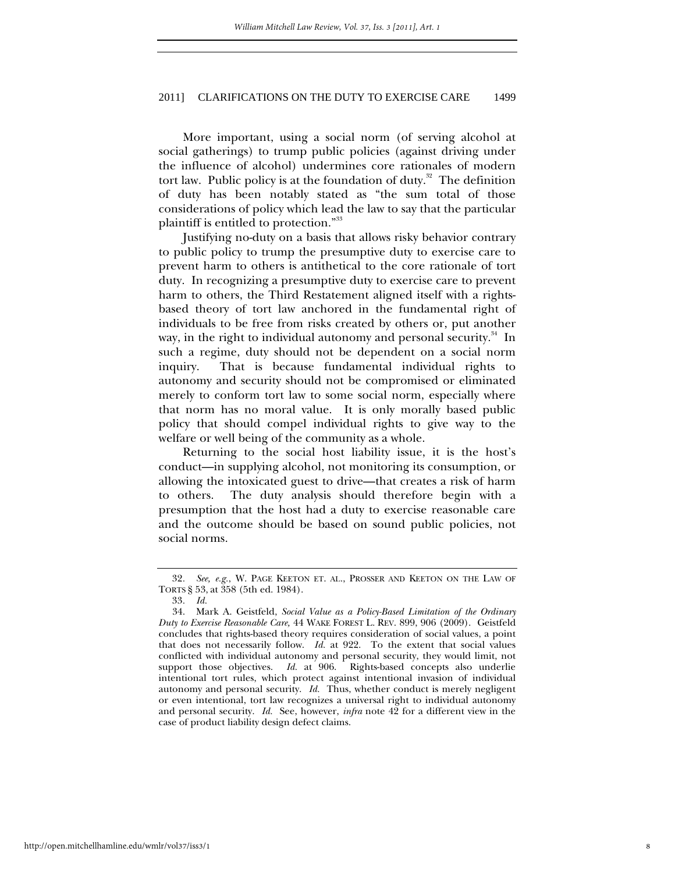More important, using a social norm (of serving alcohol at social gatherings) to trump public policies (against driving under the influence of alcohol) undermines core rationales of modern tort law. Public policy is at the foundation of duty.<sup>32</sup> The definition of duty has been notably stated as "the sum total of those considerations of policy which lead the law to say that the particular plaintiff is entitled to protection."<sup>33</sup>

Justifying no-duty on a basis that allows risky behavior contrary to public policy to trump the presumptive duty to exercise care to prevent harm to others is antithetical to the core rationale of tort duty. In recognizing a presumptive duty to exercise care to prevent harm to others, the Third Restatement aligned itself with a rightsbased theory of tort law anchored in the fundamental right of individuals to be free from risks created by others or, put another way, in the right to individual autonomy and personal security.<sup>34</sup> In such a regime, duty should not be dependent on a social norm inquiry. That is because fundamental individual rights to autonomy and security should not be compromised or eliminated merely to conform tort law to some social norm, especially where that norm has no moral value. It is only morally based public policy that should compel individual rights to give way to the welfare or well being of the community as a whole.

Returning to the social host liability issue, it is the host's conduct—in supplying alcohol, not monitoring its consumption, or allowing the intoxicated guest to drive—that creates a risk of harm to others. The duty analysis should therefore begin with a presumption that the host had a duty to exercise reasonable care and the outcome should be based on sound public policies, not social norms.

<sup>32</sup>*. See, e.g.*, W. PAGE KEETON ET. AL., PROSSER AND KEETON ON THE LAW OF TORTS § 53, at 358 (5th ed. 1984).

<sup>33</sup>*. Id.*

 <sup>34.</sup> Mark A. Geistfeld, *Social Value as a Policy-Based Limitation of the Ordinary Duty to Exercise Reasonable Care,* 44 WAKE FOREST L. REV. 899, 906 (2009). Geistfeld concludes that rights-based theory requires consideration of social values, a point that does not necessarily follow. *Id.* at 922.To the extent that social values conflicted with individual autonomy and personal security, they would limit, not support those objectives. *Id.* at 906.Rights-based concepts also underlie intentional tort rules, which protect against intentional invasion of individual autonomy and personal security. *Id.* Thus, whether conduct is merely negligent or even intentional, tort law recognizes a universal right to individual autonomy and personal security. *Id.* See, however, *infra* note 42 for a different view in the case of product liability design defect claims.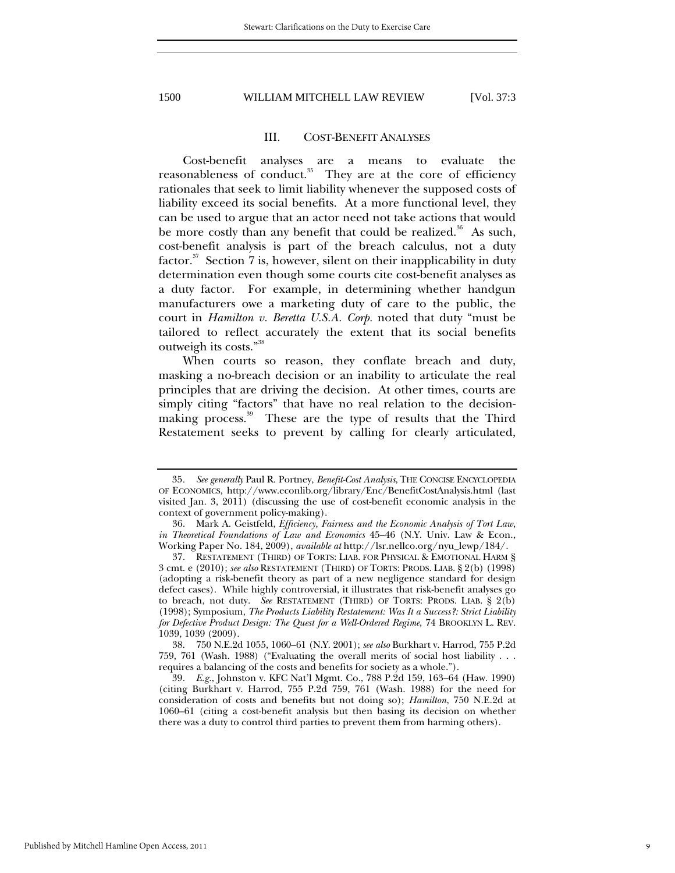#### III. COST-BENEFIT ANALYSES

Cost-benefit analyses are a means to evaluate the reasonableness of conduct.<sup>35</sup> They are at the core of efficiency rationales that seek to limit liability whenever the supposed costs of liability exceed its social benefits. At a more functional level, they can be used to argue that an actor need not take actions that would be more costly than any benefit that could be realized.<sup>36</sup> As such, cost-benefit analysis is part of the breach calculus, not a duty factor. $37$  Section 7 is, however, silent on their inapplicability in duty determination even though some courts cite cost-benefit analyses as a duty factor. For example, in determining whether handgun manufacturers owe a marketing duty of care to the public, the court in *Hamilton v. Beretta U.S.A. Corp.* noted that duty "must be tailored to reflect accurately the extent that its social benefits outweigh its costs."<sup>38</sup>

When courts so reason, they conflate breach and duty, masking a no-breach decision or an inability to articulate the real principles that are driving the decision. At other times, courts are simply citing "factors" that have no real relation to the decisionmaking process.<sup>39</sup> These are the type of results that the Third Restatement seeks to prevent by calling for clearly articulated,

 38. 750 N.E.2d 1055, 1060–61 (N.Y. 2001); *see also* Burkhart v. Harrod*,* 755 P.2d 759, 761 (Wash. 1988) ("Evaluating the overall merits of social host liability . . . requires a balancing of the costs and benefits for society as a whole.").

39*. E.g.*, Johnston v. KFC Nat'l Mgmt. Co., 788 P.2d 159, 163–64 (Haw. 1990) (citing Burkhart v. Harrod, 755 P.2d 759, 761 (Wash. 1988) for the need for consideration of costs and benefits but not doing so); *Hamilton*, 750 N.E.2d at 1060–61 (citing a cost-benefit analysis but then basing its decision on whether there was a duty to control third parties to prevent them from harming others).

<sup>35</sup>*. See generally* Paul R. Portney, *Benefit-Cost Analysis*, THE CONCISE ENCYCLOPEDIA OF ECONOMICS, http://www.econlib.org/library/Enc/BenefitCostAnalysis.html (last visited Jan. 3, 2011) (discussing the use of cost-benefit economic analysis in the context of government policy-making).

 <sup>36.</sup> Mark A. Geistfeld, *Efficiency, Fairness and the Economic Analysis of Tort Law*, *in Theoretical Foundations of Law and Economics* 45–46 (N.Y. Univ. Law & Econ., Working Paper No. 184, 2009), *available at* http://lsr.nellco.org/nyu\_lewp/184/.

 <sup>37.</sup> RESTATEMENT (THIRD) OF TORTS: LIAB. FOR PHYSICAL & EMOTIONAL HARM § 3 cmt. e (2010); *see also* RESTATEMENT (THIRD) OF TORTS: PRODS. LIAB. § 2(b) (1998) (adopting a risk-benefit theory as part of a new negligence standard for design defect cases). While highly controversial, it illustrates that risk-benefit analyses go to breach, not duty. *See* RESTATEMENT (THIRD) OF TORTS: PRODS. LIAB. § 2(b) (1998); Symposium, *The Products Liability Restatement: Was It a Success?: Strict Liability for Defective Product Design: The Quest for a Well-Ordered Regime*, 74 BROOKLYN L. REV. 1039, 1039 (2009).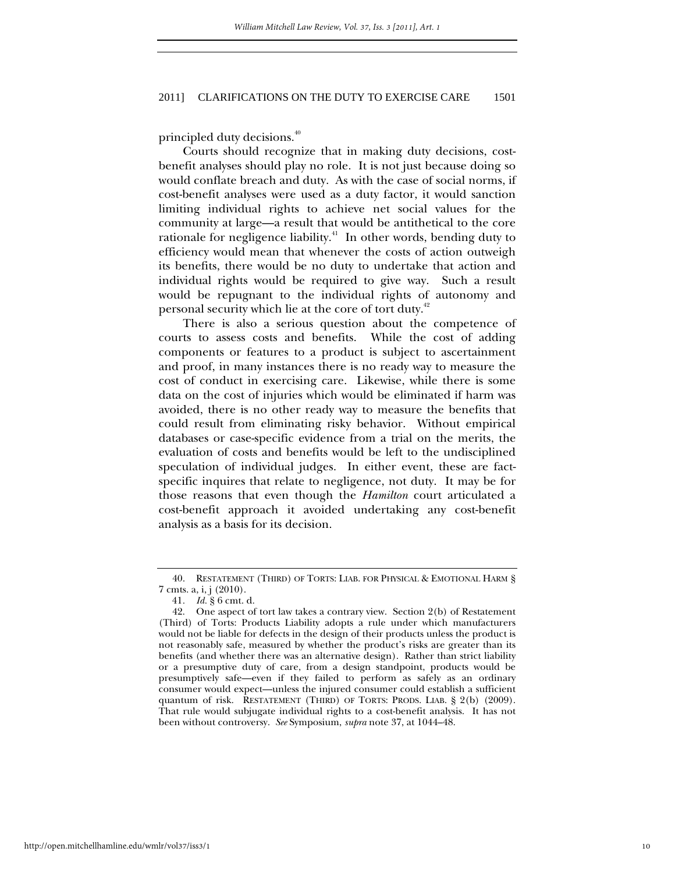principled duty decisions.<sup>40</sup>

Courts should recognize that in making duty decisions, costbenefit analyses should play no role. It is not just because doing so would conflate breach and duty. As with the case of social norms, if cost-benefit analyses were used as a duty factor, it would sanction limiting individual rights to achieve net social values for the community at large—a result that would be antithetical to the core rationale for negligence liability.<sup>41</sup> In other words, bending duty to efficiency would mean that whenever the costs of action outweigh its benefits, there would be no duty to undertake that action and individual rights would be required to give way. Such a result would be repugnant to the individual rights of autonomy and personal security which lie at the core of tort duty.<sup>42</sup>

There is also a serious question about the competence of courts to assess costs and benefits. While the cost of adding components or features to a product is subject to ascertainment and proof, in many instances there is no ready way to measure the cost of conduct in exercising care. Likewise, while there is some data on the cost of injuries which would be eliminated if harm was avoided, there is no other ready way to measure the benefits that could result from eliminating risky behavior. Without empirical databases or case-specific evidence from a trial on the merits, the evaluation of costs and benefits would be left to the undisciplined speculation of individual judges. In either event, these are factspecific inquires that relate to negligence, not duty. It may be for those reasons that even though the *Hamilton* court articulated a cost-benefit approach it avoided undertaking any cost-benefit analysis as a basis for its decision.

 <sup>40.</sup> RESTATEMENT (THIRD) OF TORTS: LIAB. FOR PHYSICAL & EMOTIONAL HARM § 7 cmts. a, i, j (2010).

<sup>41</sup>*. Id.* § 6 cmt. d.

 <sup>42.</sup> One aspect of tort law takes a contrary view. Section 2(b) of Restatement (Third) of Torts: Products Liability adopts a rule under which manufacturers would not be liable for defects in the design of their products unless the product is not reasonably safe, measured by whether the product's risks are greater than its benefits (and whether there was an alternative design). Rather than strict liability or a presumptive duty of care, from a design standpoint, products would be presumptively safe—even if they failed to perform as safely as an ordinary consumer would expect—unless the injured consumer could establish a sufficient quantum of risk. RESTATEMENT (THIRD) OF TORTS: PRODS. LIAB. § 2(b) (2009). That rule would subjugate individual rights to a cost-benefit analysis. It has not been without controversy. *See* Symposium, *supra* note 37, at 1044–48.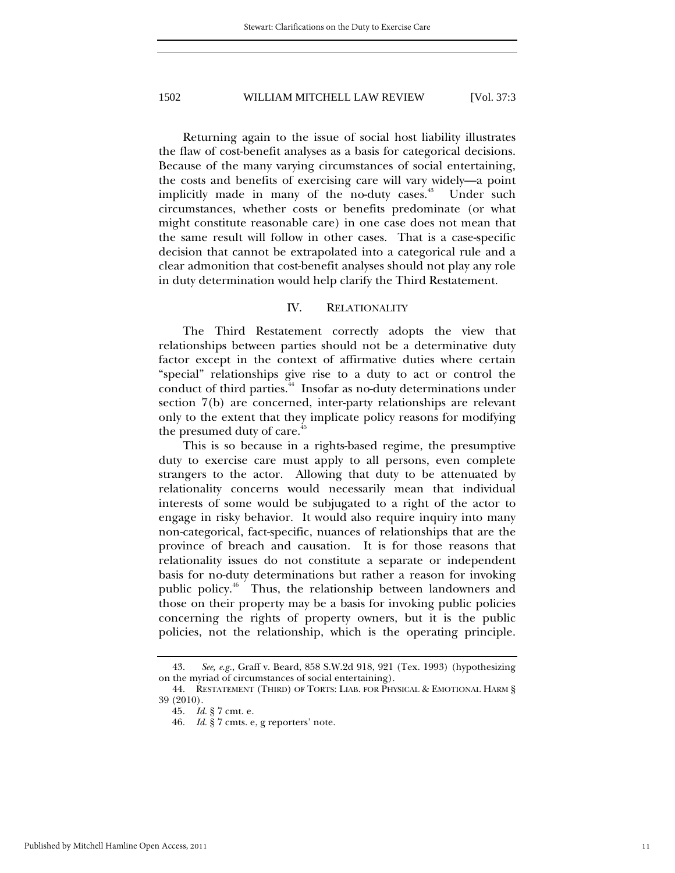Returning again to the issue of social host liability illustrates the flaw of cost-benefit analyses as a basis for categorical decisions. Because of the many varying circumstances of social entertaining, the costs and benefits of exercising care will vary widely—a point implicitly made in many of the no-duty cases.<sup>43</sup> Under such circumstances, whether costs or benefits predominate (or what might constitute reasonable care) in one case does not mean that the same result will follow in other cases. That is a case-specific decision that cannot be extrapolated into a categorical rule and a clear admonition that cost-benefit analyses should not play any role in duty determination would help clarify the Third Restatement.

## IV. RELATIONALITY

The Third Restatement correctly adopts the view that relationships between parties should not be a determinative duty factor except in the context of affirmative duties where certain "special" relationships give rise to a duty to act or control the conduct of third parties.<sup>44</sup> Insofar as no-duty determinations under section 7(b) are concerned, inter-party relationships are relevant only to the extent that they implicate policy reasons for modifying the presumed duty of care.<sup> $#$ </sup>

This is so because in a rights-based regime, the presumptive duty to exercise care must apply to all persons, even complete strangers to the actor. Allowing that duty to be attenuated by relationality concerns would necessarily mean that individual interests of some would be subjugated to a right of the actor to engage in risky behavior. It would also require inquiry into many non-categorical, fact-specific, nuances of relationships that are the province of breach and causation. It is for those reasons that relationality issues do not constitute a separate or independent basis for no-duty determinations but rather a reason for invoking public policy.<sup>46</sup> Thus, the relationship between landowners and those on their property may be a basis for invoking public policies concerning the rights of property owners, but it is the public policies, not the relationship, which is the operating principle.

 <sup>43.</sup> *See, e.g.*, Graff v. Beard, 858 S.W.2d 918, 921 (Tex. 1993) (hypothesizing on the myriad of circumstances of social entertaining).

 <sup>44.</sup> RESTATEMENT (THIRD) OF TORTS: LIAB. FOR PHYSICAL & EMOTIONAL HARM § 39 (2010).

<sup>45</sup>*. Id.* § 7 cmt. e.

<sup>46</sup>*. Id.* § 7 cmts. e, g reporters' note.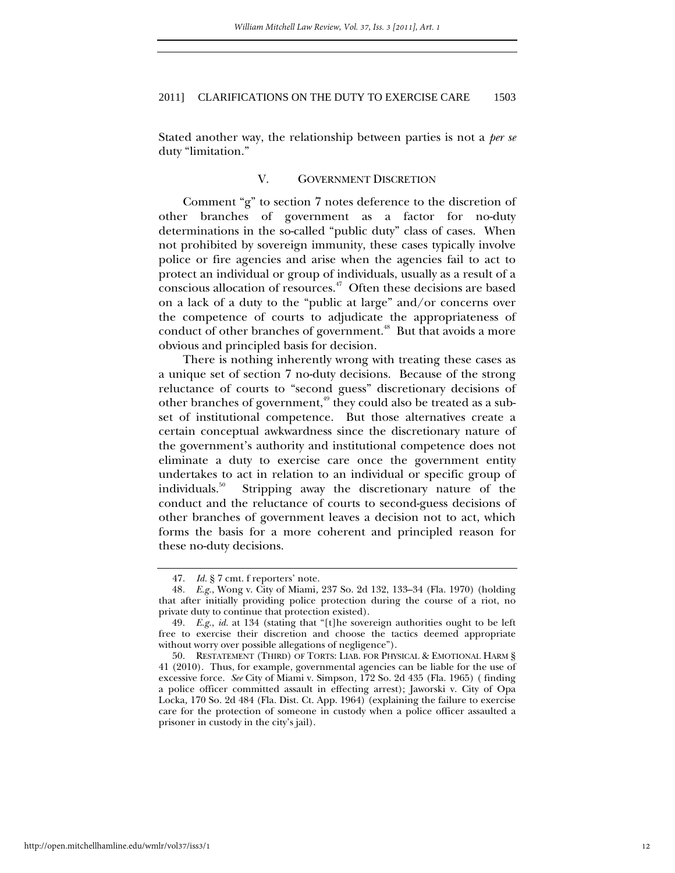Stated another way, the relationship between parties is not a *per se*  duty "limitation."

## V. GOVERNMENT DISCRETION

Comment "g" to section 7 notes deference to the discretion of other branches of government as a factor for no-duty determinations in the so-called "public duty" class of cases. When not prohibited by sovereign immunity, these cases typically involve police or fire agencies and arise when the agencies fail to act to protect an individual or group of individuals, usually as a result of a conscious allocation of resources.47 Often these decisions are based on a lack of a duty to the "public at large" and/or concerns over the competence of courts to adjudicate the appropriateness of conduct of other branches of government.<sup>48</sup> But that avoids a more obvious and principled basis for decision.

There is nothing inherently wrong with treating these cases as a unique set of section 7 no-duty decisions. Because of the strong reluctance of courts to "second guess" discretionary decisions of other branches of government,<sup>49</sup> they could also be treated as a subset of institutional competence. But those alternatives create a certain conceptual awkwardness since the discretionary nature of the government's authority and institutional competence does not eliminate a duty to exercise care once the government entity undertakes to act in relation to an individual or specific group of individuals.50 Stripping away the discretionary nature of the conduct and the reluctance of courts to second-guess decisions of other branches of government leaves a decision not to act, which forms the basis for a more coherent and principled reason for these no-duty decisions.

 <sup>47.</sup> *Id.* § 7 cmt. f reporters' note.

<sup>48</sup>*. E.g.*, Wong v. City of Miami*,* 237 So. 2d 132, 133–34 (Fla. 1970) (holding that after initially providing police protection during the course of a riot, no private duty to continue that protection existed).

<sup>49</sup>*. E.g.*, *id.* at 134 (stating that "[t]he sovereign authorities ought to be left free to exercise their discretion and choose the tactics deemed appropriate without worry over possible allegations of negligence").

 <sup>50.</sup> RESTATEMENT (THIRD) OF TORTS: LIAB. FOR PHYSICAL & EMOTIONAL HARM § 41 (2010). Thus, for example, governmental agencies can be liable for the use of excessive force. *See* City of Miami v. Simpson*,* 172 So. 2d 435 (Fla. 1965) ( finding a police officer committed assault in effecting arrest); Jaworski v. City of Opa Locka*,* 170 So. 2d 484 (Fla. Dist. Ct. App. 1964) (explaining the failure to exercise care for the protection of someone in custody when a police officer assaulted a prisoner in custody in the city's jail).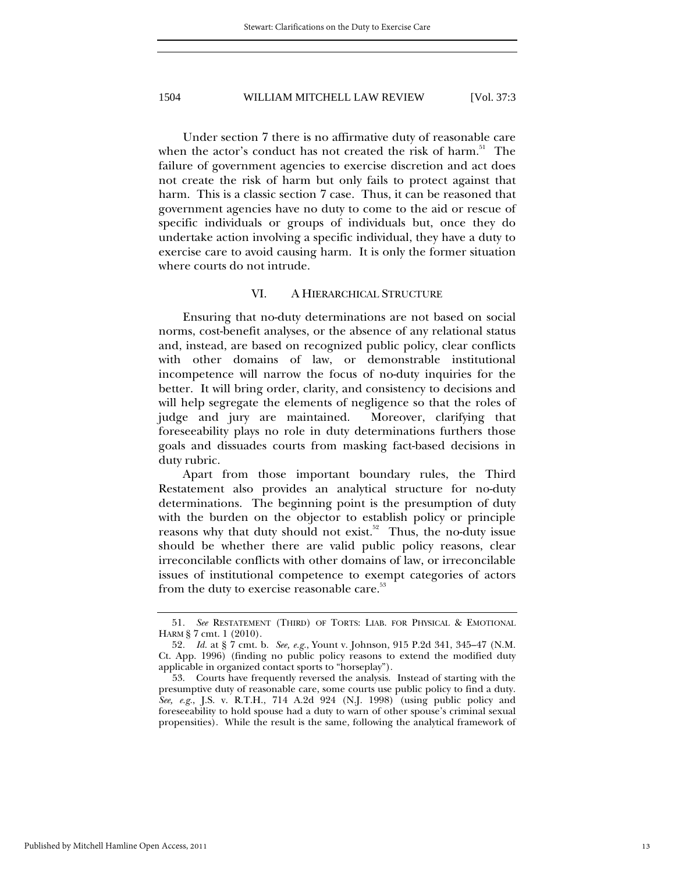Under section 7 there is no affirmative duty of reasonable care when the actor's conduct has not created the risk of harm.<sup>51</sup> The failure of government agencies to exercise discretion and act does not create the risk of harm but only fails to protect against that harm. This is a classic section 7 case. Thus, it can be reasoned that government agencies have no duty to come to the aid or rescue of specific individuals or groups of individuals but, once they do undertake action involving a specific individual, they have a duty to exercise care to avoid causing harm. It is only the former situation where courts do not intrude.

#### VI. A HIERARCHICAL STRUCTURE

Ensuring that no-duty determinations are not based on social norms, cost-benefit analyses, or the absence of any relational status and, instead, are based on recognized public policy, clear conflicts with other domains of law, or demonstrable institutional incompetence will narrow the focus of no-duty inquiries for the better. It will bring order, clarity, and consistency to decisions and will help segregate the elements of negligence so that the roles of judge and jury are maintained. Moreover, clarifying that foreseeability plays no role in duty determinations furthers those goals and dissuades courts from masking fact-based decisions in duty rubric.

Apart from those important boundary rules, the Third Restatement also provides an analytical structure for no-duty determinations. The beginning point is the presumption of duty with the burden on the objector to establish policy or principle reasons why that duty should not exist.<sup>52</sup> Thus, the no-duty issue should be whether there are valid public policy reasons, clear irreconcilable conflicts with other domains of law, or irreconcilable issues of institutional competence to exempt categories of actors from the duty to exercise reasonable care.<sup>53</sup>

<sup>51</sup>*. See* RESTATEMENT (THIRD) OF TORTS: LIAB. FOR PHYSICAL & EMOTIONAL HARM § 7 cmt. 1 (2010).

<sup>52</sup>*. Id.* at § 7 cmt. b. *See, e.g.*, Yount v. Johnson, 915 P.2d 341, 345–47 (N.M. Ct. App. 1996) (finding no public policy reasons to extend the modified duty applicable in organized contact sports to "horseplay").

 <sup>53.</sup> Courts have frequently reversed the analysis. Instead of starting with the presumptive duty of reasonable care, some courts use public policy to find a duty. *See, e.g.*, J.S. v. R.T.H., 714 A.2d 924 (N.J. 1998) (using public policy and foreseeability to hold spouse had a duty to warn of other spouse's criminal sexual propensities). While the result is the same, following the analytical framework of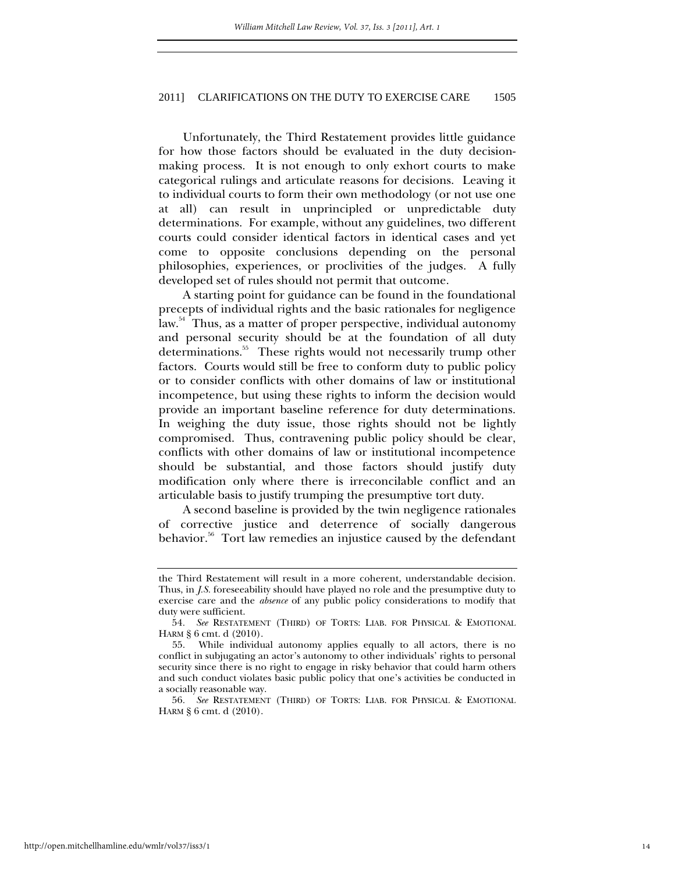Unfortunately, the Third Restatement provides little guidance for how those factors should be evaluated in the duty decisionmaking process. It is not enough to only exhort courts to make categorical rulings and articulate reasons for decisions. Leaving it to individual courts to form their own methodology (or not use one at all) can result in unprincipled or unpredictable duty determinations. For example, without any guidelines, two different courts could consider identical factors in identical cases and yet come to opposite conclusions depending on the personal philosophies, experiences, or proclivities of the judges. A fully developed set of rules should not permit that outcome.

A starting point for guidance can be found in the foundational precepts of individual rights and the basic rationales for negligence law.<sup>54</sup> Thus, as a matter of proper perspective, individual autonomy and personal security should be at the foundation of all duty determinations.55 These rights would not necessarily trump other factors. Courts would still be free to conform duty to public policy or to consider conflicts with other domains of law or institutional incompetence, but using these rights to inform the decision would provide an important baseline reference for duty determinations. In weighing the duty issue, those rights should not be lightly compromised. Thus, contravening public policy should be clear, conflicts with other domains of law or institutional incompetence should be substantial, and those factors should justify duty modification only where there is irreconcilable conflict and an articulable basis to justify trumping the presumptive tort duty.

A second baseline is provided by the twin negligence rationales of corrective justice and deterrence of socially dangerous behavior.<sup>56</sup> Tort law remedies an injustice caused by the defendant

56*. See* RESTATEMENT (THIRD) OF TORTS: LIAB. FOR PHYSICAL & EMOTIONAL HARM § 6 cmt. d (2010).

the Third Restatement will result in a more coherent, understandable decision. Thus, in *J.S.* foreseeability should have played no role and the presumptive duty to exercise care and the *absence* of any public policy considerations to modify that duty were sufficient.

<sup>54</sup>*. See* RESTATEMENT (THIRD) OF TORTS: LIAB. FOR PHYSICAL & EMOTIONAL HARM § 6 cmt. d (2010).

 <sup>55.</sup> While individual autonomy applies equally to all actors, there is no conflict in subjugating an actor's autonomy to other individuals' rights to personal security since there is no right to engage in risky behavior that could harm others and such conduct violates basic public policy that one's activities be conducted in a socially reasonable way.